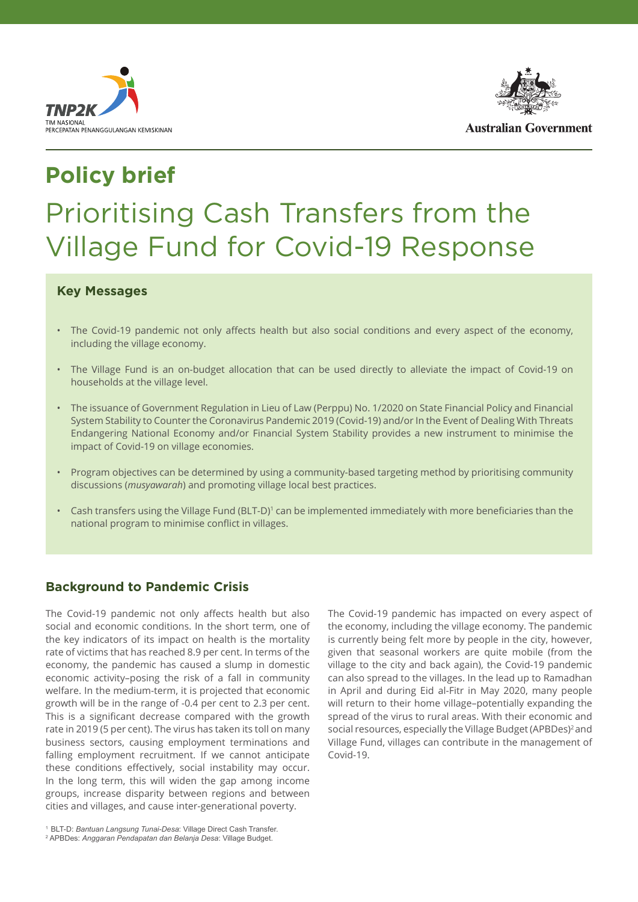



## **Policy brief**

# Prioritising Cash Transfers from the Village Fund for Covid-19 Response

#### **Key Messages**

- The Covid-19 pandemic not only affects health but also social conditions and every aspect of the economy, including the village economy.
- The Village Fund is an on-budget allocation that can be used directly to alleviate the impact of Covid-19 on households at the village level.
- The issuance of Government Regulation in Lieu of Law (Perppu) No. 1/2020 on State Financial Policy and Financial System Stability to Counter the Coronavirus Pandemic 2019 (Covid-19) and/or In the Event of Dealing With Threats Endangering National Economy and/or Financial System Stability provides a new instrument to minimise the impact of Covid-19 on village economies.
- Program objectives can be determined by using a community-based targeting method by prioritising community discussions (*musyawarah*) and promoting village local best practices.
- Cash transfers using the Village Fund (BLT-D)<sup>1</sup> can be implemented immediately with more beneficiaries than the national program to minimise conflict in villages.

#### **Background to Pandemic Crisis**

The Covid-19 pandemic not only affects health but also social and economic conditions. In the short term, one of the key indicators of its impact on health is the mortality rate of victims that has reached 8.9 per cent. In terms of the economy, the pandemic has caused a slump in domestic economic activity–posing the risk of a fall in community welfare. In the medium-term, it is projected that economic growth will be in the range of -0.4 per cent to 2.3 per cent. This is a significant decrease compared with the growth rate in 2019 (5 per cent). The virus has taken its toll on many business sectors, causing employment terminations and falling employment recruitment. If we cannot anticipate these conditions effectively, social instability may occur. In the long term, this will widen the gap among income groups, increase disparity between regions and between cities and villages, and cause inter-generational poverty.

The Covid-19 pandemic has impacted on every aspect of the economy, including the village economy. The pandemic is currently being felt more by people in the city, however, given that seasonal workers are quite mobile (from the village to the city and back again), the Covid-19 pandemic can also spread to the villages. In the lead up to Ramadhan in April and during Eid al-Fitr in May 2020, many people will return to their home village–potentially expanding the spread of the virus to rural areas. With their economic and social resources, especially the Village Budget (APBDes)<sup>2</sup> and Village Fund, villages can contribute in the management of Covid-19.

<sup>1</sup> BLT-D: *Bantuan Langsung Tunai-Desa*: Village Direct Cash Transfer. 2 APBDes: *Anggaran Pendapatan dan Belanja Desa*: Village Budget.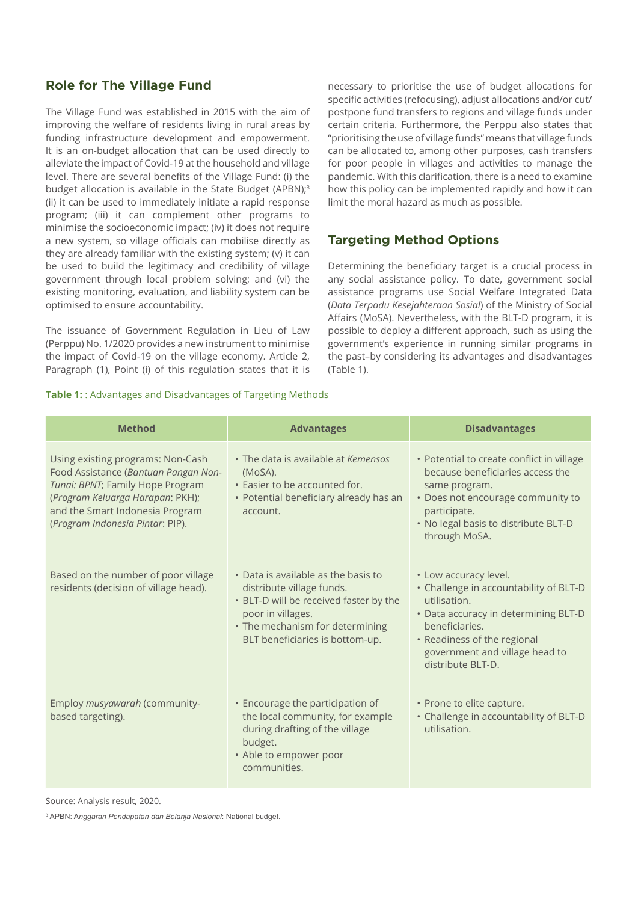#### **Role for The Village Fund**

The Village Fund was established in 2015 with the aim of improving the welfare of residents living in rural areas by funding infrastructure development and empowerment. It is an on-budget allocation that can be used directly to alleviate the impact of Covid-19 at the household and village level. There are several benefits of the Village Fund: (i) the budget allocation is available in the State Budget (APBN);<sup>3</sup> (ii) it can be used to immediately initiate a rapid response program; (iii) it can complement other programs to minimise the socioeconomic impact; (iv) it does not require a new system, so village officials can mobilise directly as they are already familiar with the existing system; (v) it can be used to build the legitimacy and credibility of village government through local problem solving; and (vi) the existing monitoring, evaluation, and liability system can be optimised to ensure accountability.

The issuance of Government Regulation in Lieu of Law (Perppu) No. 1/2020 provides a new instrument to minimise the impact of Covid-19 on the village economy. Article 2, Paragraph (1), Point (i) of this regulation states that it is

necessary to prioritise the use of budget allocations for specific activities (refocusing), adjust allocations and/or cut/ postpone fund transfers to regions and village funds under certain criteria. Furthermore, the Perppu also states that "prioritising the use of village funds" means that village funds can be allocated to, among other purposes, cash transfers for poor people in villages and activities to manage the pandemic. With this clarification, there is a need to examine how this policy can be implemented rapidly and how it can limit the moral hazard as much as possible.

#### **Targeting Method Options**

Determining the beneficiary target is a crucial process in any social assistance policy. To date, government social assistance programs use Social Welfare Integrated Data (*Data Terpadu Kesejahteraan Sosial*) of the Ministry of Social Affairs (MoSA). Nevertheless, with the BLT-D program, it is possible to deploy a different approach, such as using the government's experience in running similar programs in the past–by considering its advantages and disadvantages (Table 1).

#### **Table 1:** : Advantages and Disadvantages of Targeting Methods

| <b>Method</b>                                                                                                                                                                                                            | <b>Advantages</b>                                                                                                                                                                                     | <b>Disadvantages</b>                                                                                                                                                                                                            |
|--------------------------------------------------------------------------------------------------------------------------------------------------------------------------------------------------------------------------|-------------------------------------------------------------------------------------------------------------------------------------------------------------------------------------------------------|---------------------------------------------------------------------------------------------------------------------------------------------------------------------------------------------------------------------------------|
| Using existing programs: Non-Cash<br>Food Assistance (Bantuan Pangan Non-<br>Tunai: BPNT; Family Hope Program<br>(Program Keluarga Harapan: PKH);<br>and the Smart Indonesia Program<br>(Program Indonesia Pintar: PIP). | • The data is available at Kemensos<br>(MoSA).<br>• Easier to be accounted for.<br>• Potential beneficiary already has an<br>account.                                                                 | • Potential to create conflict in village<br>because beneficiaries access the<br>same program.<br>• Does not encourage community to<br>participate.<br>. No legal basis to distribute BLT-D<br>through MoSA.                    |
| Based on the number of poor village<br>residents (decision of village head).                                                                                                                                             | • Data is available as the basis to<br>distribute village funds.<br>• BLT-D will be received faster by the<br>poor in villages.<br>• The mechanism for determining<br>BLT beneficiaries is bottom-up. | • Low accuracy level.<br>• Challenge in accountability of BLT-D<br>utilisation.<br>• Data accuracy in determining BLT-D<br>beneficiaries.<br>• Readiness of the regional<br>government and village head to<br>distribute BLT-D. |
| Employ musyawarah (community-<br>based targeting).                                                                                                                                                                       | • Encourage the participation of<br>the local community, for example<br>during drafting of the village<br>budget.<br>• Able to empower poor<br>communities.                                           | • Prone to elite capture.<br>• Challenge in accountability of BLT-D<br>utilisation.                                                                                                                                             |

Source: Analysis result, 2020.

3 APBN: A*nggaran Pendapatan dan Belanja Nasional*: National budget.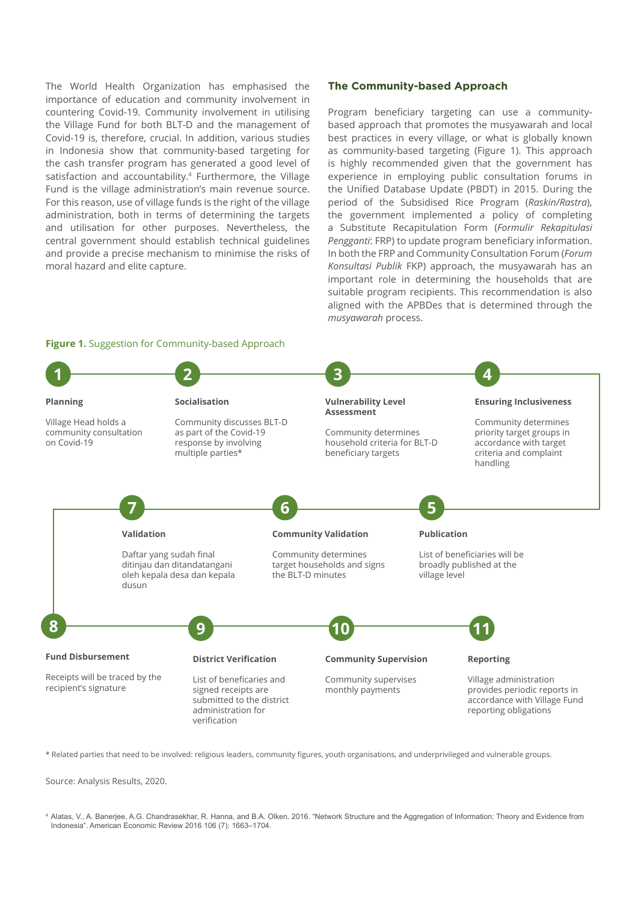The World Health Organization has emphasised the importance of education and community involvement in countering Covid-19. Community involvement in utilising the Village Fund for both BLT-D and the management of Covid-19 is, therefore, crucial. In addition, various studies in Indonesia show that community-based targeting for the cash transfer program has generated a good level of satisfaction and accountability.<sup>4</sup> Furthermore, the Village Fund is the village administration's main revenue source. For this reason, use of village funds is the right of the village administration, both in terms of determining the targets and utilisation for other purposes. Nevertheless, the central government should establish technical guidelines and provide a precise mechanism to minimise the risks of moral hazard and elite capture.

#### **The Community-based Approach**

Program beneficiary targeting can use a communitybased approach that promotes the musyawarah and local best practices in every village, or what is globally known as community-based targeting (Figure 1). This approach is highly recommended given that the government has experience in employing public consultation forums in the Unified Database Update (PBDT) in 2015. During the period of the Subsidised Rice Program (*Raskin/Rastra*), the government implemented a policy of completing a Substitute Recapitulation Form (*Formulir Rekapitulasi Pengganti*: FRP) to update program beneficiary information. In both the FRP and Community Consultation Forum (*Forum Konsultasi Publik* FKP) approach, the musyawarah has an important role in determining the households that are suitable program recipients. This recommendation is also aligned with the APBDes that is determined through the *musyawarah* process.



\* Related parties that need to be involved: religious leaders, community figures, youth organisations, and underprivileged and vulnerable groups.

Source: Analysis Results, 2020.

<sup>4</sup> Alatas, V., A. Banerjee, A.G. Chandrasekhar, R. Hanna, and B.A. Olken. 2016. "Network Structure and the Aggregation of Information: Theory and Evidence from Indonesia". American Economic Review 2016 106 (7): 1663–1704.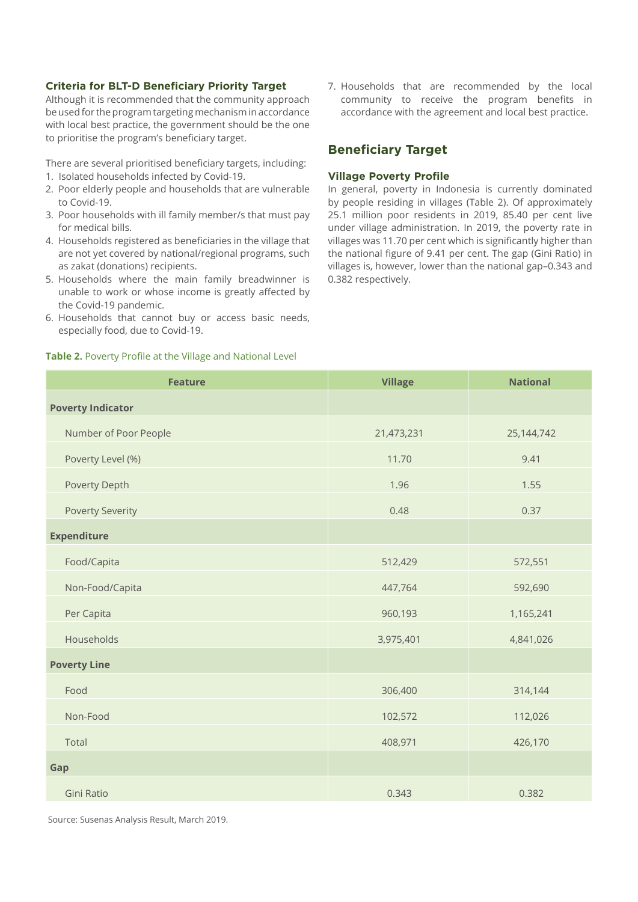#### **Criteria for BLT-D Beneficiary Priority Target**

Although it is recommended that the community approach be used for the program targeting mechanism in accordance with local best practice, the government should be the one to prioritise the program's beneficiary target.

There are several prioritised beneficiary targets, including:

- 1. Isolated households infected by Covid-19.
- 2. Poor elderly people and households that are vulnerable to Covid-19.
- 3. Poor households with ill family member/s that must pay for medical bills.
- 4. Households registered as beneficiaries in the village that are not yet covered by national/regional programs, such as zakat (donations) recipients.
- 5. Households where the main family breadwinner is unable to work or whose income is greatly affected by the Covid-19 pandemic.
- 6. Households that cannot buy or access basic needs, especially food, due to Covid-19.

7. Households that are recommended by the local community to receive the program benefits in accordance with the agreement and local best practice.

#### **Beneficiary Target**

#### **Village Poverty Profile**

In general, poverty in Indonesia is currently dominated by people residing in villages (Table 2). Of approximately 25.1 million poor residents in 2019, 85.40 per cent live under village administration. In 2019, the poverty rate in villages was 11.70 per cent which is significantly higher than the national figure of 9.41 per cent. The gap (Gini Ratio) in villages is, however, lower than the national gap–0.343 and 0.382 respectively.

| <b>Feature</b>           | <b>Village</b> | <b>National</b> |
|--------------------------|----------------|-----------------|
| <b>Poverty Indicator</b> |                |                 |
| Number of Poor People    | 21,473,231     | 25,144,742      |
| Poverty Level (%)        | 11.70          | 9.41            |
| Poverty Depth            | 1.96           | 1.55            |
| <b>Poverty Severity</b>  | 0.48           | 0.37            |
| <b>Expenditure</b>       |                |                 |
| Food/Capita              | 512,429        | 572,551         |
| Non-Food/Capita          | 447,764        | 592,690         |
| Per Capita               | 960,193        | 1,165,241       |
| Households               | 3,975,401      | 4,841,026       |
| <b>Poverty Line</b>      |                |                 |
| Food                     | 306,400        | 314,144         |
| Non-Food                 | 102,572        | 112,026         |
| Total                    | 408,971        | 426,170         |
| Gap                      |                |                 |
| Gini Ratio               | 0.343          | 0.382           |

**Table 2.** Poverty Profile at the Village and National Level

Source: Susenas Analysis Result, March 2019.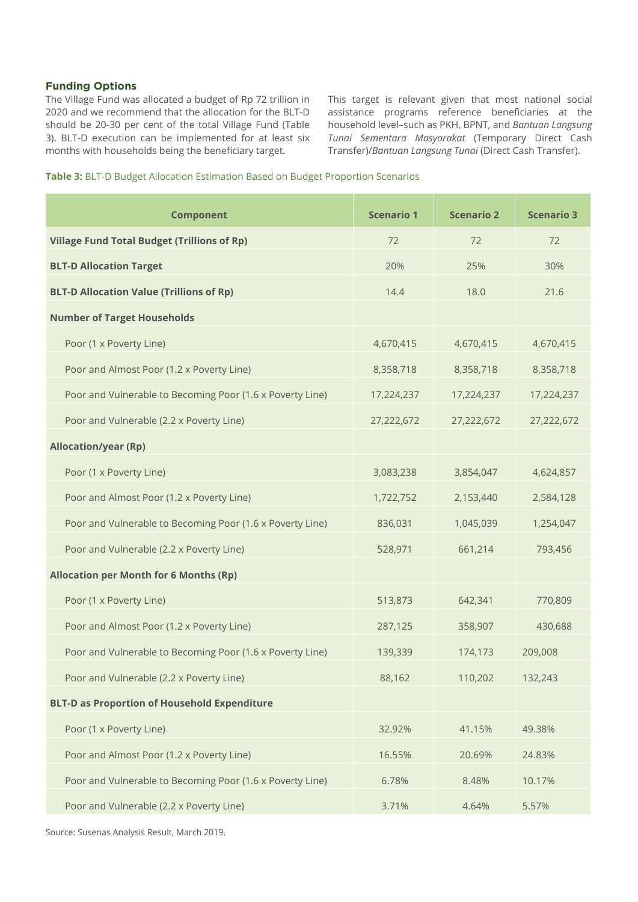#### **Funding Options**

The Village Fund was allocated a budget of Rp 72 trillion in 2020 and we recommend that the allocation for the BLT-D should be 20-30 per cent of the total Village Fund (Table 3). BLT-D execution can be implemented for at least six months with households being the beneficiary target.

This target is relevant given that most national social assistance programs reference beneficiaries at the household level–such as PKH, BPNT, and *Bantuan Langsung Tunai Sementara Masyarakat* (Temporary Direct Cash Transfer)/*Bantuan Langsung Tunai* (Direct Cash Transfer).

| Table 3: BLT-D Budget Allocation Estimation Based on Budget Proportion Scenarios |  |  |
|----------------------------------------------------------------------------------|--|--|
|                                                                                  |  |  |

| <b>Component</b>                                          | <b>Scenario 1</b> | <b>Scenario 2</b> | <b>Scenario 3</b> |
|-----------------------------------------------------------|-------------------|-------------------|-------------------|
| <b>Village Fund Total Budget (Trillions of Rp)</b>        | 72                | 72                | 72                |
| <b>BLT-D Allocation Target</b>                            | 20%               | 25%               | 30%               |
| <b>BLT-D Allocation Value (Trillions of Rp)</b>           | 14.4              | 18.0              | 21.6              |
| <b>Number of Target Households</b>                        |                   |                   |                   |
| Poor (1 x Poverty Line)                                   | 4,670,415         | 4,670,415         | 4,670,415         |
| Poor and Almost Poor (1.2 x Poverty Line)                 | 8,358,718         | 8,358,718         | 8,358,718         |
| Poor and Vulnerable to Becoming Poor (1.6 x Poverty Line) | 17,224,237        | 17,224,237        | 17,224,237        |
| Poor and Vulnerable (2.2 x Poverty Line)                  | 27,222,672        | 27,222,672        | 27,222,672        |
| <b>Allocation/year (Rp)</b>                               |                   |                   |                   |
| Poor (1 x Poverty Line)                                   | 3,083,238         | 3,854,047         | 4,624,857         |
| Poor and Almost Poor (1.2 x Poverty Line)                 | 1,722,752         | 2,153,440         | 2,584,128         |
| Poor and Vulnerable to Becoming Poor (1.6 x Poverty Line) | 836,031           | 1,045,039         | 1,254,047         |
| Poor and Vulnerable (2.2 x Poverty Line)                  | 528,971           | 661,214           | 793,456           |
| <b>Allocation per Month for 6 Months (Rp)</b>             |                   |                   |                   |
| Poor (1 x Poverty Line)                                   | 513,873           | 642,341           | 770,809           |
| Poor and Almost Poor (1.2 x Poverty Line)                 | 287,125           | 358,907           | 430,688           |
| Poor and Vulnerable to Becoming Poor (1.6 x Poverty Line) | 139,339           | 174,173           | 209,008           |
| Poor and Vulnerable (2.2 x Poverty Line)                  | 88,162            | 110,202           | 132,243           |
| <b>BLT-D as Proportion of Household Expenditure</b>       |                   |                   |                   |
| Poor (1 x Poverty Line)                                   | 32.92%            | 41.15%            | 49.38%            |
| Poor and Almost Poor (1.2 x Poverty Line)                 | 16.55%            | 20.69%            | 24.83%            |
| Poor and Vulnerable to Becoming Poor (1.6 x Poverty Line) | 6.78%             | 8.48%             | 10.17%            |
| Poor and Vulnerable (2.2 x Poverty Line)                  | 3.71%             | 4.64%             | 5.57%             |

Source: Susenas Analysis Result, March 2019.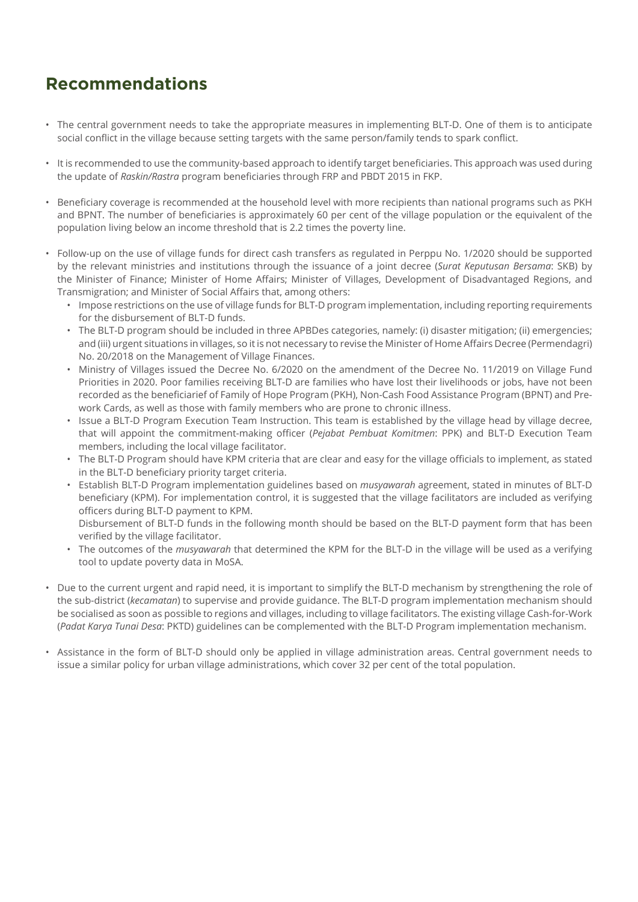### **Recommendations**

- The central government needs to take the appropriate measures in implementing BLT-D. One of them is to anticipate social conflict in the village because setting targets with the same person/family tends to spark conflict.
- It is recommended to use the community-based approach to identify target beneficiaries. This approach was used during the update of *Raskin/Rastra* program beneficiaries through FRP and PBDT 2015 in FKP.
- Beneficiary coverage is recommended at the household level with more recipients than national programs such as PKH and BPNT. The number of beneficiaries is approximately 60 per cent of the village population or the equivalent of the population living below an income threshold that is 2.2 times the poverty line.
- Follow-up on the use of village funds for direct cash transfers as regulated in Perppu No. 1/2020 should be supported by the relevant ministries and institutions through the issuance of a joint decree (*Surat Keputusan Bersama*: SKB) by the Minister of Finance; Minister of Home Affairs; Minister of Villages, Development of Disadvantaged Regions, and Transmigration; and Minister of Social Affairs that, among others:
	- Impose restrictions on the use of village funds for BLT-D program implementation, including reporting requirements for the disbursement of BLT-D funds.
	- The BLT-D program should be included in three APBDes categories, namely: (i) disaster mitigation; (ii) emergencies; and (iii) urgent situations in villages, so it is not necessary to revise the Minister of Home Affairs Decree (Permendagri) No. 20/2018 on the Management of Village Finances.
	- Ministry of Villages issued the Decree No. 6/2020 on the amendment of the Decree No. 11/2019 on Village Fund Priorities in 2020. Poor families receiving BLT-D are families who have lost their livelihoods or jobs, have not been recorded as the beneficiarief of Family of Hope Program (PKH), Non-Cash Food Assistance Program (BPNT) and Prework Cards, as well as those with family members who are prone to chronic illness.
	- Issue a BLT-D Program Execution Team Instruction. This team is established by the village head by village decree, that will appoint the commitment-making officer (*Pejabat Pembuat Komitmen*: PPK) and BLT-D Execution Team members, including the local village facilitator.
	- The BLT-D Program should have KPM criteria that are clear and easy for the village officials to implement, as stated in the BLT-D beneficiary priority target criteria.
	- Establish BLT-D Program implementation guidelines based on *musyawarah* agreement, stated in minutes of BLT-D beneficiary (KPM). For implementation control, it is suggested that the village facilitators are included as verifying officers during BLT-D payment to KPM.

Disbursement of BLT-D funds in the following month should be based on the BLT-D payment form that has been verified by the village facilitator.

- The outcomes of the *musyawarah* that determined the KPM for the BLT-D in the village will be used as a verifying tool to update poverty data in MoSA.
- Due to the current urgent and rapid need, it is important to simplify the BLT-D mechanism by strengthening the role of the sub-district (*kecamatan*) to supervise and provide guidance. The BLT-D program implementation mechanism should be socialised as soon as possible to regions and villages, including to village facilitators. The existing village Cash-for-Work (*Padat Karya Tunai Desa*: PKTD) guidelines can be complemented with the BLT-D Program implementation mechanism.
- Assistance in the form of BLT-D should only be applied in village administration areas. Central government needs to issue a similar policy for urban village administrations, which cover 32 per cent of the total population.